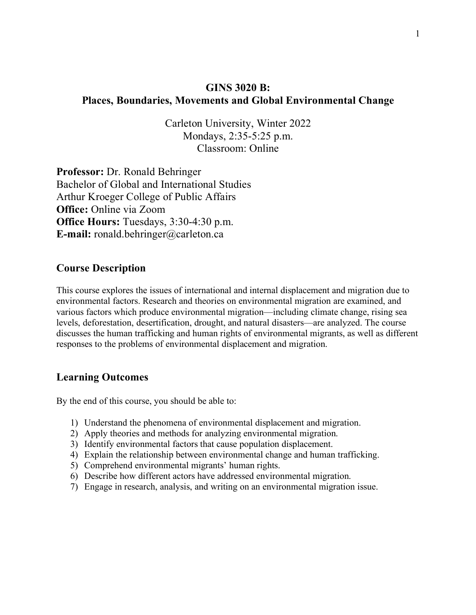## **GINS 3020 B: Places, Boundaries, Movements and Global Environmental Change**

Carleton University, Winter 2022 Mondays, 2:35-5:25 p.m. Classroom: Online

**Professor:** Dr. Ronald Behringer Bachelor of Global and International Studies Arthur Kroeger College of Public Affairs **Office:** Online via Zoom **Office Hours:** Tuesdays, 3:30-4:30 p.m. **E-mail:** ronald.behringer@carleton.ca

### **Course Description**

This course explores the issues of international and internal displacement and migration due to environmental factors. Research and theories on environmental migration are examined, and various factors which produce environmental migration—including climate change, rising sea levels, deforestation, desertification, drought, and natural disasters—are analyzed. The course discusses the human trafficking and human rights of environmental migrants, as well as different responses to the problems of environmental displacement and migration.

#### **Learning Outcomes**

By the end of this course, you should be able to:

- 1) Understand the phenomena of environmental displacement and migration.
- 2) Apply theories and methods for analyzing environmental migration.
- 3) Identify environmental factors that cause population displacement.
- 4) Explain the relationship between environmental change and human trafficking.
- 5) Comprehend environmental migrants' human rights.
- 6) Describe how different actors have addressed environmental migration.
- 7) Engage in research, analysis, and writing on an environmental migration issue.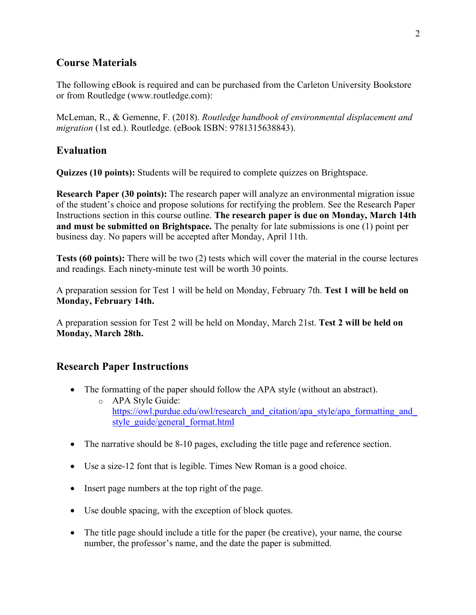## **Course Materials**

The following eBook is required and can be purchased from the Carleton University Bookstore or from Routledge (www.routledge.com):

McLeman, R., & Gemenne, F. (2018). *Routledge handbook of environmental displacement and migration* (1st ed.). Routledge. (eBook ISBN: 9781315638843).

## **Evaluation**

**Quizzes (10 points):** Students will be required to complete quizzes on Brightspace.

**Research Paper (30 points):** The research paper will analyze an environmental migration issue of the student's choice and propose solutions for rectifying the problem. See the Research Paper Instructions section in this course outline. **The research paper is due on Monday, March 14th and must be submitted on Brightspace.** The penalty for late submissions is one (1) point per business day. No papers will be accepted after Monday, April 11th.

**Tests (60 points):** There will be two (2) tests which will cover the material in the course lectures and readings. Each ninety-minute test will be worth 30 points.

A preparation session for Test 1 will be held on Monday, February 7th. **Test 1 will be held on Monday, February 14th.**

A preparation session for Test 2 will be held on Monday, March 21st. **Test 2 will be held on Monday, March 28th.**

# **Research Paper Instructions**

- The formatting of the paper should follow the APA style (without an abstract).
	- o APA Style Guide: https://owl.purdue.edu/owl/research\_and\_citation/apa\_style/apa\_formatting\_and style\_guide/general\_format.html
- The narrative should be 8-10 pages, excluding the title page and reference section.
- Use a size-12 font that is legible. Times New Roman is a good choice.
- Insert page numbers at the top right of the page.
- Use double spacing, with the exception of block quotes.
- The title page should include a title for the paper (be creative), your name, the course number, the professor's name, and the date the paper is submitted.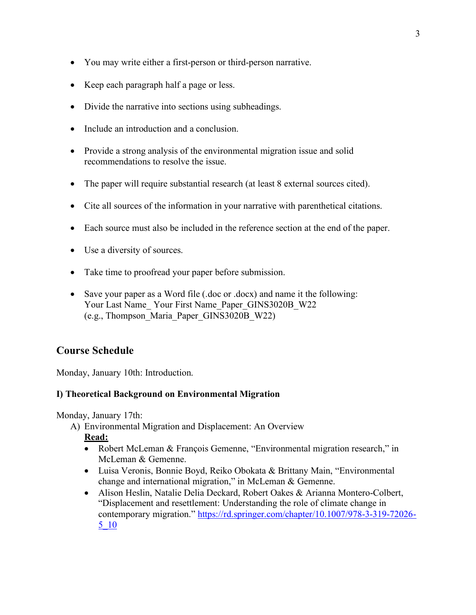- You may write either a first-person or third-person narrative.
- Keep each paragraph half a page or less.
- Divide the narrative into sections using subheadings.
- Include an introduction and a conclusion.
- Provide a strong analysis of the environmental migration issue and solid recommendations to resolve the issue.
- The paper will require substantial research (at least 8 external sources cited).
- Cite all sources of the information in your narrative with parenthetical citations.
- Each source must also be included in the reference section at the end of the paper.
- Use a diversity of sources.
- Take time to proofread your paper before submission.
- Save your paper as a Word file (.doc or .docx) and name it the following: Your Last Name Your First Name Paper GINS3020B W22 (e.g., Thompson\_Maria\_Paper\_GINS3020B\_W22)

## **Course Schedule**

Monday, January 10th: Introduction.

#### **I) Theoretical Background on Environmental Migration**

Monday, January 17th:

A) Environmental Migration and Displacement: An Overview

**Read:**

- Robert McLeman & François Gemenne, "Environmental migration research," in McLeman & Gemenne.
- Luisa Veronis, Bonnie Boyd, Reiko Obokata & Brittany Main, "Environmental change and international migration," in McLeman & Gemenne.
- Alison Heslin, Natalie Delia Deckard, Robert Oakes & Arianna Montero-Colbert, "Displacement and resettlement: Understanding the role of climate change in contemporary migration." https://rd.springer.com/chapter/10.1007/978-3-319-72026- 5\_10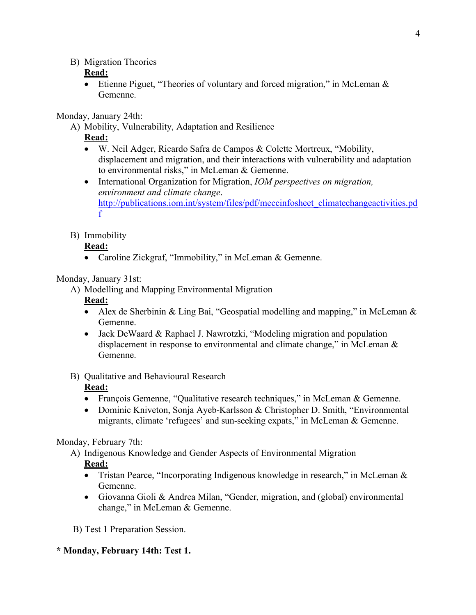B) Migration Theories

### **Read:**

• Etienne Piguet, "Theories of voluntary and forced migration," in McLeman  $\&$ Gemenne.

Monday, January 24th:

A) Mobility, Vulnerability, Adaptation and Resilience

**Read:**

- W. Neil Adger, Ricardo Safra de Campos & Colette Mortreux, "Mobility, displacement and migration, and their interactions with vulnerability and adaptation to environmental risks," in McLeman & Gemenne.
- International Organization for Migration, *IOM perspectives on migration, environment and climate change*. http://publications.iom.int/system/files/pdf/meccinfosheet\_climatechangeactivities.pd f
- B) Immobility

## **Read:**

• Caroline Zickgraf, "Immobility," in McLeman & Gemenne.

Monday, January 31st:

A) Modelling and Mapping Environmental Migration

## **Read:**

- Alex de Sherbinin & Ling Bai, "Geospatial modelling and mapping," in McLeman & Gemenne.
- Jack DeWaard & Raphael J. Nawrotzki, "Modeling migration and population displacement in response to environmental and climate change," in McLeman & Gemenne.

## B) Qualitative and Behavioural Research

## **Read:**

- François Gemenne, "Qualitative research techniques," in McLeman & Gemenne.
- Dominic Kniveton, Sonja Ayeb-Karlsson & Christopher D. Smith, "Environmental migrants, climate 'refugees' and sun-seeking expats," in McLeman & Gemenne.

## Monday, February 7th:

- A) Indigenous Knowledge and Gender Aspects of Environmental Migration **Read:**
	- Tristan Pearce, "Incorporating Indigenous knowledge in research," in McLeman  $\&$ Gemenne.
	- Giovanna Gioli & Andrea Milan, "Gender, migration, and (global) environmental change," in McLeman & Gemenne.

B) Test 1 Preparation Session.

## **\* Monday, February 14th: Test 1.**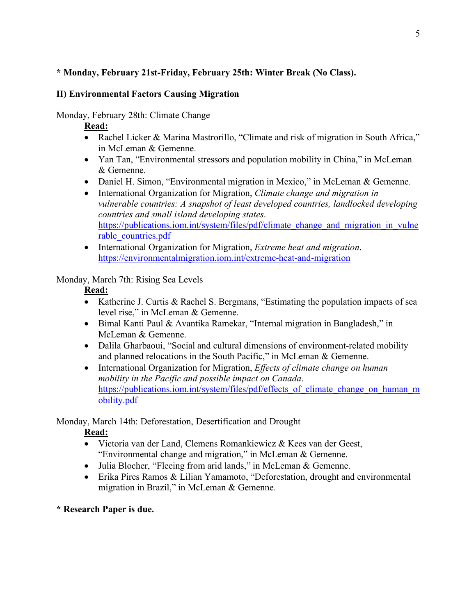### **\* Monday, February 21st-Friday, February 25th: Winter Break (No Class).**

#### **II) Environmental Factors Causing Migration**

Monday, February 28th: Climate Change

#### **Read:**

- Rachel Licker & Marina Mastrorillo, "Climate and risk of migration in South Africa," in McLeman & Gemenne.
- Yan Tan, "Environmental stressors and population mobility in China," in McLeman & Gemenne.
- Daniel H. Simon, "Environmental migration in Mexico," in McLeman & Gemenne.
- International Organization for Migration, *Climate change and migration in vulnerable countries: A snapshot of least developed countries, landlocked developing countries and small island developing states*. https://publications.iom.int/system/files/pdf/climate\_change\_and\_migration\_in\_vulne rable\_countries.pdf
- International Organization for Migration, *Extreme heat and migration*. https://environmentalmigration.iom.int/extreme-heat-and-migration

#### Monday, March 7th: Rising Sea Levels

#### **Read:**

- Katherine J. Curtis & Rachel S. Bergmans, "Estimating the population impacts of sea level rise," in McLeman & Gemenne.
- Bimal Kanti Paul & Avantika Ramekar, "Internal migration in Bangladesh," in McLeman & Gemenne.
- Dalila Gharbaoui, "Social and cultural dimensions of environment-related mobility and planned relocations in the South Pacific," in McLeman & Gemenne.
- International Organization for Migration, *Effects of climate change on human mobility in the Pacific and possible impact on Canada*. https://publications.iom.int/system/files/pdf/effects\_of\_climate\_change\_on\_human\_m obility.pdf

Monday, March 14th: Deforestation, Desertification and Drought

### **Read:**

- Victoria van der Land, Clemens Romankiewicz & Kees van der Geest, "Environmental change and migration," in McLeman & Gemenne.
- Julia Blocher, "Fleeing from arid lands," in McLeman & Gemenne.
- Erika Pires Ramos & Lilian Yamamoto, "Deforestation, drought and environmental migration in Brazil," in McLeman & Gemenne.

### **\* Research Paper is due.**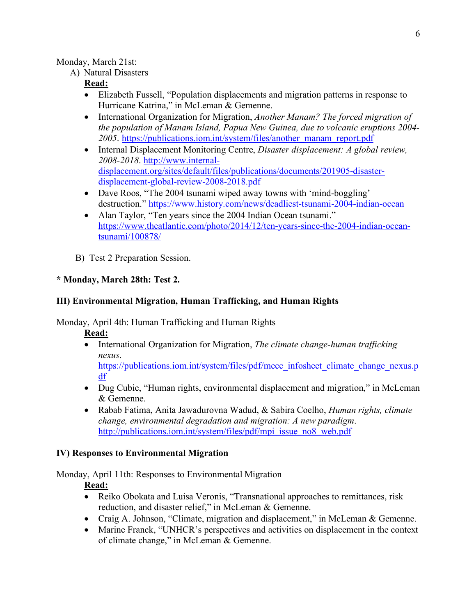#### Monday, March 21st:

A) Natural Disasters

### **Read:**

- Elizabeth Fussell, "Population displacements and migration patterns in response to Hurricane Katrina," in McLeman & Gemenne.
- International Organization for Migration, *Another Manam? The forced migration of the population of Manam Island, Papua New Guinea, due to volcanic eruptions 2004- 2005*. https://publications.iom.int/system/files/another\_manam\_report.pdf
- Internal Displacement Monitoring Centre, *Disaster displacement: A global review, 2008-2018*. http://www.internaldisplacement.org/sites/default/files/publications/documents/201905-disasterdisplacement-global-review-2008-2018.pdf
- Dave Roos, "The 2004 tsunami wiped away towns with 'mind-boggling' destruction." https://www.history.com/news/deadliest-tsunami-2004-indian-ocean
- Alan Taylor, "Ten years since the 2004 Indian Ocean tsunami." https://www.theatlantic.com/photo/2014/12/ten-years-since-the-2004-indian-oceantsunami/100878/
- B) Test 2 Preparation Session.

### **\* Monday, March 28th: Test 2.**

### **III) Environmental Migration, Human Trafficking, and Human Rights**

Monday, April 4th: Human Trafficking and Human Rights

**Read:**

• International Organization for Migration, *The climate change-human trafficking nexus*.

https://publications.iom.int/system/files/pdf/mecc\_infosheet\_climate\_change\_nexus.p df

- Dug Cubie, "Human rights, environmental displacement and migration," in McLeman & Gemenne.
- Rabab Fatima, Anita Jawadurovna Wadud, & Sabira Coelho, *Human rights, climate change, environmental degradation and migration: A new paradigm*. http://publications.iom.int/system/files/pdf/mpi\_issue\_no8\_web.pdf

### **IV) Responses to Environmental Migration**

Monday, April 11th: Responses to Environmental Migration

### **Read:**

- Reiko Obokata and Luisa Veronis, "Transnational approaches to remittances, risk reduction, and disaster relief," in McLeman & Gemenne.
- Craig A. Johnson, "Climate, migration and displacement," in McLeman & Gemenne.
- Marine Franck, "UNHCR's perspectives and activities on displacement in the context of climate change," in McLeman & Gemenne.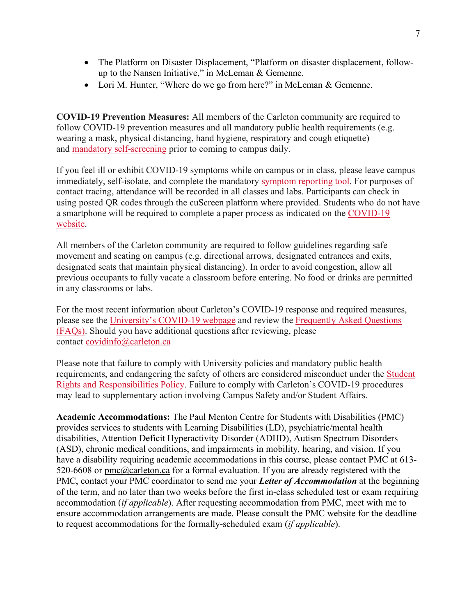- The Platform on Disaster Displacement, "Platform on disaster displacement, followup to the Nansen Initiative," in McLeman & Gemenne.
- Lori M. Hunter, "Where do we go from here?" in McLeman & Gemenne.

**COVID-19 Prevention Measures:** All members of the Carleton community are required to follow COVID-19 prevention measures and all mandatory public health requirements (e.g. wearing a mask, physical distancing, hand hygiene, respiratory and cough etiquette) and mandatory self-screening prior to coming to campus daily.

If you feel ill or exhibit COVID-19 symptoms while on campus or in class, please leave campus immediately, self-isolate, and complete the mandatory symptom reporting tool. For purposes of contact tracing, attendance will be recorded in all classes and labs. Participants can check in using posted QR codes through the cuScreen platform where provided. Students who do not have a smartphone will be required to complete a paper process as indicated on the COVID-19 website.

All members of the Carleton community are required to follow guidelines regarding safe movement and seating on campus (e.g. directional arrows, designated entrances and exits, designated seats that maintain physical distancing). In order to avoid congestion, allow all previous occupants to fully vacate a classroom before entering. No food or drinks are permitted in any classrooms or labs.

For the most recent information about Carleton's COVID-19 response and required measures, please see the University's COVID-19 webpage and review the Frequently Asked Questions (FAQs). Should you have additional questions after reviewing, please contact covidinfo@carleton.ca

Please note that failure to comply with University policies and mandatory public health requirements, and endangering the safety of others are considered misconduct under the Student Rights and Responsibilities Policy. Failure to comply with Carleton's COVID-19 procedures may lead to supplementary action involving Campus Safety and/or Student Affairs.

**Academic Accommodations:** The Paul Menton Centre for Students with Disabilities (PMC) provides services to students with Learning Disabilities (LD), psychiatric/mental health disabilities, Attention Deficit Hyperactivity Disorder (ADHD), Autism Spectrum Disorders (ASD), chronic medical conditions, and impairments in mobility, hearing, and vision. If you have a disability requiring academic accommodations in this course, please contact PMC at 613- 520-6608 or pmc@carleton.ca for a formal evaluation. If you are already registered with the PMC, contact your PMC coordinator to send me your *Letter of Accommodation* at the beginning of the term, and no later than two weeks before the first in-class scheduled test or exam requiring accommodation (*if applicable*). After requesting accommodation from PMC, meet with me to ensure accommodation arrangements are made. Please consult the PMC website for the deadline to request accommodations for the formally-scheduled exam (*if applicable*).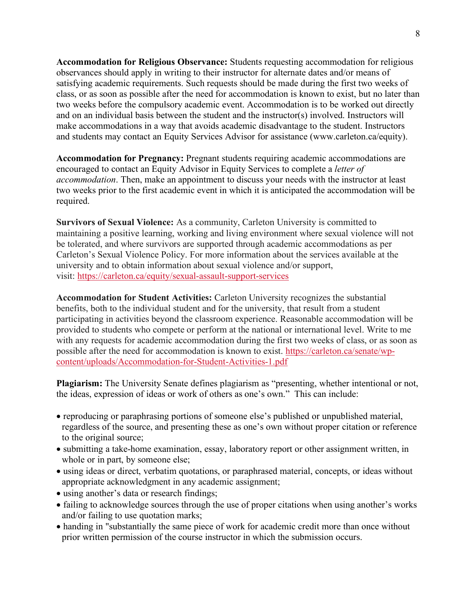**Accommodation for Religious Observance:** Students requesting accommodation for religious observances should apply in writing to their instructor for alternate dates and/or means of satisfying academic requirements. Such requests should be made during the first two weeks of class, or as soon as possible after the need for accommodation is known to exist, but no later than two weeks before the compulsory academic event. Accommodation is to be worked out directly and on an individual basis between the student and the instructor(s) involved. Instructors will make accommodations in a way that avoids academic disadvantage to the student. Instructors and students may contact an Equity Services Advisor for assistance (www.carleton.ca/equity).

**Accommodation for Pregnancy:** Pregnant students requiring academic accommodations are encouraged to contact an Equity Advisor in Equity Services to complete a *letter of accommodation*. Then, make an appointment to discuss your needs with the instructor at least two weeks prior to the first academic event in which it is anticipated the accommodation will be required.

**Survivors of Sexual Violence:** As a community, Carleton University is committed to maintaining a positive learning, working and living environment where sexual violence will not be tolerated, and where survivors are supported through academic accommodations as per Carleton's Sexual Violence Policy. For more information about the services available at the university and to obtain information about sexual violence and/or support, visit: https://carleton.ca/equity/sexual-assault-support-services

**Accommodation for Student Activities:** Carleton University recognizes the substantial benefits, both to the individual student and for the university, that result from a student participating in activities beyond the classroom experience. Reasonable accommodation will be provided to students who compete or perform at the national or international level. Write to me with any requests for academic accommodation during the first two weeks of class, or as soon as possible after the need for accommodation is known to exist. https://carleton.ca/senate/wpcontent/uploads/Accommodation-for-Student-Activities-1.pdf

**Plagiarism:** The University Senate defines plagiarism as "presenting, whether intentional or not, the ideas, expression of ideas or work of others as one's own." This can include:

- reproducing or paraphrasing portions of someone else's published or unpublished material, regardless of the source, and presenting these as one's own without proper citation or reference to the original source;
- submitting a take-home examination, essay, laboratory report or other assignment written, in whole or in part, by someone else;
- using ideas or direct, verbatim quotations, or paraphrased material, concepts, or ideas without appropriate acknowledgment in any academic assignment;
- using another's data or research findings;
- failing to acknowledge sources through the use of proper citations when using another's works and/or failing to use quotation marks;
- handing in "substantially the same piece of work for academic credit more than once without prior written permission of the course instructor in which the submission occurs.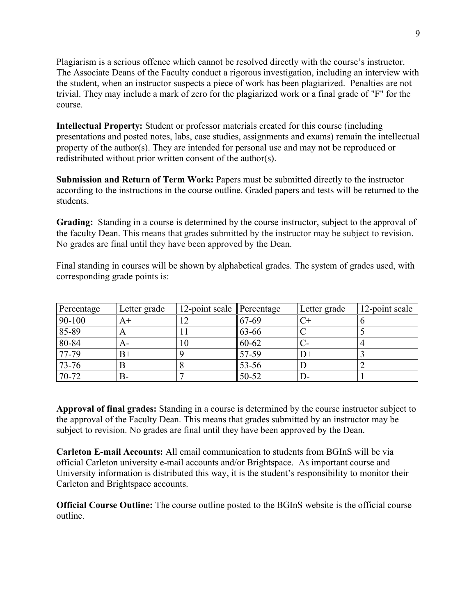Plagiarism is a serious offence which cannot be resolved directly with the course's instructor. The Associate Deans of the Faculty conduct a rigorous investigation, including an interview with the student, when an instructor suspects a piece of work has been plagiarized. Penalties are not trivial. They may include a mark of zero for the plagiarized work or a final grade of "F" for the course.

**Intellectual Property:** Student or professor materials created for this course (including presentations and posted notes, labs, case studies, assignments and exams) remain the intellectual property of the author(s). They are intended for personal use and may not be reproduced or redistributed without prior written consent of the author(s).

**Submission and Return of Term Work:** Papers must be submitted directly to the instructor according to the instructions in the course outline. Graded papers and tests will be returned to the students.

**Grading:** Standing in a course is determined by the course instructor, subject to the approval of the faculty Dean. This means that grades submitted by the instructor may be subject to revision. No grades are final until they have been approved by the Dean.

Final standing in courses will be shown by alphabetical grades. The system of grades used, with corresponding grade points is:

| Percentage | Letter grade | 12-point scale Percentage |            | Letter grade | 12-point scale |
|------------|--------------|---------------------------|------------|--------------|----------------|
| 90-100     | $A+$         |                           | $67-69$    |              |                |
| 85-89      |              |                           | $163 - 66$ |              |                |
| 80-84      | $A-$         | 10                        | $160 - 62$ |              |                |
| 77-79      | $B+$         |                           | 57-59      | $\Box$       |                |
| 73-76      |              |                           | 53-56      |              |                |
| 70-72      | B-           |                           | $150-52$   |              |                |

**Approval of final grades:** Standing in a course is determined by the course instructor subject to the approval of the Faculty Dean. This means that grades submitted by an instructor may be subject to revision. No grades are final until they have been approved by the Dean.

**Carleton E-mail Accounts:** All email communication to students from BGInS will be via official Carleton university e-mail accounts and/or Brightspace. As important course and University information is distributed this way, it is the student's responsibility to monitor their Carleton and Brightspace accounts.

**Official Course Outline:** The course outline posted to the BGInS website is the official course outline.